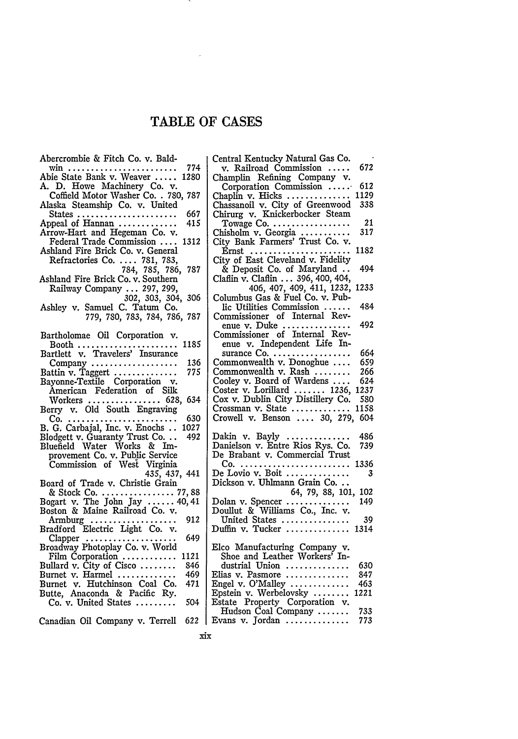## TABLE OF **CASES**

 $\mathcal{L}^{\text{max}}_{\text{max}}$  , where  $\mathcal{L}^{\text{max}}_{\text{max}}$ 

- 7

| Abercrombie & Fitch Co. v. Bald-                                                                                                                                                                                                                                           | c                     |
|----------------------------------------------------------------------------------------------------------------------------------------------------------------------------------------------------------------------------------------------------------------------------|-----------------------|
| 774<br>$win \dots$<br>.<br>$\bullet$ $\bullet$<br>Abie State Bank v. Weaver<br>1280                                                                                                                                                                                        | C                     |
| A. D. Howe Machinery Co. v.<br>Coffield Motor Washer Co. . 780, 787                                                                                                                                                                                                        | C                     |
| Alaska Steamship Co. v. United<br>667                                                                                                                                                                                                                                      | $_{\rm c}^{\rm c}$    |
| States<br>Appeal of Hannan<br>415                                                                                                                                                                                                                                          |                       |
| Arrow-Hart and Hegeman Co. v.<br>Federal Trade Commission<br>1312                                                                                                                                                                                                          | $_{\rm c}^{\rm c}$    |
| Ashland Fire Brick Co. v. General                                                                                                                                                                                                                                          | C                     |
| Refractories Co.  781, 783,<br>784, 785, 786,<br>Ashland Fire Brick Co. v. Southern<br>787                                                                                                                                                                                 |                       |
|                                                                                                                                                                                                                                                                            | $\mathbf c$           |
| Railway Company  297, 299,<br>302, 303, 304, 306<br>Ashley v. Samuel C. Tatum Co.                                                                                                                                                                                          | c                     |
| 779, 780, 783, 784, 786, 787                                                                                                                                                                                                                                               | C                     |
| Bartholomae Oil Corporation v.                                                                                                                                                                                                                                             | C                     |
| 1185<br>$\begin{minipage}{.4\linewidth} \textbf{Bookh} \hspace{0.08cm} \ldots \ldots \ldots \ldots \ldots \ldots \ldots \ldots \ldots \textbf{Bartlett} \hspace{0.08cm} \textbf{v.} \hspace{0.08cm} \textbf{Travelers'} \hspace{0.08cm} \textbf{Insurance} \end{minipage}$ |                       |
| 136<br>775                                                                                                                                                                                                                                                                 | $_{\rm c}^{\rm c}$    |
| Company<br>Battin v. Taggert<br>Bayonne-Textile Corporation v.                                                                                                                                                                                                             |                       |
| American Federation of Silk<br>634                                                                                                                                                                                                                                         | C<br>C<br>C<br>C<br>C |
| Workers  628,<br>Berry v. Old South Engraving<br>630                                                                                                                                                                                                                       |                       |
| 1027                                                                                                                                                                                                                                                                       |                       |
| Blodgett v. Guaranty Trust Co<br>Bluefield Water Works & Im-<br>492                                                                                                                                                                                                        | D<br>D                |
| provement Co. v. Public Service<br>Commission of West Virginia                                                                                                                                                                                                             | D                     |
| 435, 437, 441                                                                                                                                                                                                                                                              | D                     |
|                                                                                                                                                                                                                                                                            | D                     |
|                                                                                                                                                                                                                                                                            | D<br>D                |
| 912<br>Armburg<br>Bradford Electric Light Co. v.                                                                                                                                                                                                                           | D                     |
| Clapper<br>Broadway Photoplay Co. v. World<br>649                                                                                                                                                                                                                          |                       |
| Film Corporation  1121                                                                                                                                                                                                                                                     | E                     |
| Bullard v. City of Cisco<br>846<br>Burnet v. Harmel<br>-469                                                                                                                                                                                                                | E.                    |
| Burnet v. Hutchinson Coal Co.<br>Butte, Anaconda & Pacific Ry.<br>471                                                                                                                                                                                                      | Eı                    |
| Co. v. United States<br>504                                                                                                                                                                                                                                                | E<br>E.               |
| Canadian Oil Company v. Terrell 622                                                                                                                                                                                                                                        | E                     |

| Central Kentucky Natural Gas Co.                                                     |                  |
|--------------------------------------------------------------------------------------|------------------|
| v. Railroad Commission                                                               | 672              |
| Champlin Refining Company v.                                                         |                  |
| Corporation Commission                                                               | 612              |
| Chaplin v. Hicks<br>Chassanoil v. City of Greenwood                                  | 1129             |
|                                                                                      | 338              |
| Chirurg v. Knickerbocker Steam                                                       |                  |
| Towage Co.<br>Chisholm v. Georgia<br>City Bank Farmers' Trust Co. v.                 | 21               |
|                                                                                      | 317              |
|                                                                                      |                  |
| Ernst<br>City of East Cleveland v. Fidelity                                          | 1182             |
|                                                                                      |                  |
| & Deposit Co. of Maryland<br>Claflin v. Claflin  396, 400, 404,                      | 494              |
|                                                                                      | 1233             |
| 406, 407, 409, 411, 1232,<br>Columbus Gas & Fuel Co. v. Pub-                         |                  |
| lic Utilities Commission                                                             | 484              |
| Commissioner of Internal Rev-                                                        |                  |
|                                                                                      | 492              |
| enue v. Duke<br>Commissioner of Internal Rev-                                        |                  |
| enue v. Independent Life In-                                                         |                  |
|                                                                                      | 664              |
| surance Co.<br>Commonwealth v. Donoghue<br>Commonwealth v. Rash                      | 659              |
|                                                                                      | 266              |
|                                                                                      | 624              |
| Cooley v. Board of Wardens<br>Coster v. Lorillard  1236,                             | 1237             |
| Cox v. Dublin City Distillery Co.                                                    | 580              |
|                                                                                      | 1158             |
| Crossman v. State<br>Crowell v. Benson  30, 279,                                     | 604              |
|                                                                                      |                  |
| Dakin v. Bayly<br>Danielson v. Entre Rios Rys. Co.<br>De Brabant v. Commercial Trust | 486              |
|                                                                                      | 739              |
|                                                                                      |                  |
|                                                                                      | 1336             |
|                                                                                      | $\boldsymbol{3}$ |
| Dickson v. Uhlmann Grain Co                                                          |                  |
| 64, 79, 88, 101,                                                                     | 102              |
| Dolan v. Spencer<br>Doullut & Williams Co., Inc. v.                                  | 149              |
|                                                                                      | 39               |
| United States<br>Duffin v. Tucker                                                    | 1314             |
|                                                                                      |                  |
|                                                                                      |                  |
| Elco Manufacturing Company v.<br>Shoe and Leather Workers' In-                       |                  |
| dustrial Union                                                                       | 630              |
| Elias v. Pasmore                                                                     | 847              |
| Engel v. O'Malley                                                                    | 463              |
| Epstein v. Werbelovsky                                                               | 1221             |
| Estate Property Corporation v.                                                       |                  |
| Hudson Coal Company                                                                  | 733              |
| Evans v. Jordan $\dots\dots\dots\dots$                                               | 773              |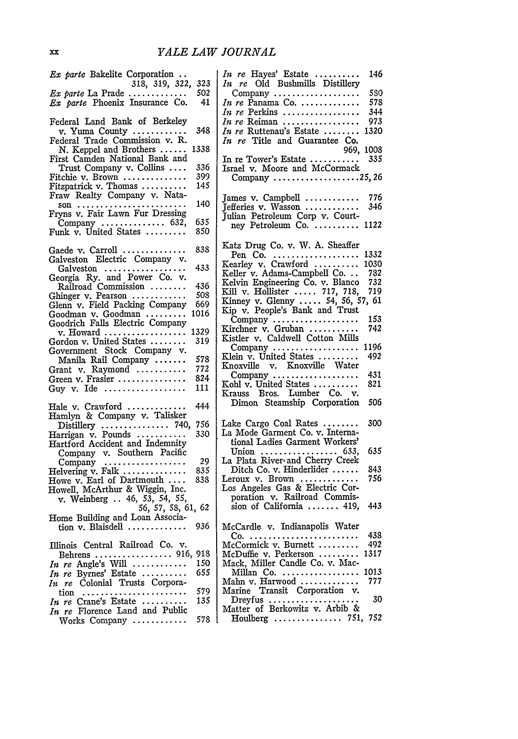| Ex parte Bakelite Corporation                                               |      |
|-----------------------------------------------------------------------------|------|
| 318, 319, 322,                                                              | 323  |
|                                                                             | 502  |
| $Ex$ parte La Prade<br>Ex parte Phoenix Insurance Co.                       | -41  |
| Federal Land Bank of Berkeley                                               |      |
|                                                                             | 348  |
| v. Yuma County<br>Federal Trade Commission v. R.                            |      |
| N. Keppel and Brothers                                                      | 1338 |
| First Camden National Bank and                                              |      |
| Trust Company v. Collins                                                    | 336  |
| Fitchie v. Brown                                                            | 399  |
|                                                                             | 145  |
| Fitzpatrick v. Thomas<br>Fraw Realty Company v. Nata-                       |      |
|                                                                             | 140  |
|                                                                             |      |
|                                                                             | 635  |
|                                                                             | 850  |
|                                                                             |      |
| Gaede v. Carroll<br>Galveston Electric Company v.                           | 838  |
|                                                                             |      |
|                                                                             | 433  |
| Galveston<br>Georgia Ry. and Power Co. v.                                   |      |
| Railroad Commission<br>Ghinger v. Pearson<br>Glenn v. Field Packing Company | 436  |
|                                                                             | 508  |
|                                                                             | 669  |
| Goodman v. Goodman                                                          | 1016 |
| Goodrich Falls Electric Company                                             |      |
| v. Howard                                                                   | 1329 |
| Gordon v. United States                                                     | 319  |
| Government Stock Company v.                                                 |      |
| Manila Rail Company                                                         | 578  |
|                                                                             | 772  |
| Green v. Frasier<br>Guy v. Ide                                              | 824  |
|                                                                             | 111  |
|                                                                             | 444  |
| Hale v. Crawford<br>Hamlyn & Company v. Talisker                            |      |
|                                                                             | 756  |
| Distillery  740,<br>Harrigan v. Pounds                                      | 330  |
| Hartford Accident and Indemnity                                             |      |
|                                                                             |      |
|                                                                             | 29   |
|                                                                             | 835  |
| Howe v. Earl of Dartmouth                                                   | 838  |
|                                                                             |      |
| Howell, McArthur & Wiggin, Inc.<br>v. Weinberg  46, 53, 54, 55,             |      |
| 56, 57, 58, 61, 62                                                          |      |
| Home Building and Loan Associa-                                             |      |
| tion v. Blaisdell                                                           | 936  |
|                                                                             |      |
| Illinois Central Railroad Co. v.                                            |      |
|                                                                             | 918  |
|                                                                             | 150  |
|                                                                             | 655  |
| In re Colonial Trusts Corpora-                                              |      |
| tion<br>.                                                                   | 579  |
|                                                                             | 135  |
| In re Crane's Estate<br>In re Florence Land and Public                      |      |
| Works Company                                                               | 578  |
|                                                                             |      |

| In re Hayes' Estate<br>In re Old Bushmills Distillery                                      | 146  |
|--------------------------------------------------------------------------------------------|------|
|                                                                                            | 580  |
| Company<br>In re Panama Co.                                                                |      |
|                                                                                            | 578  |
| In re Perkins                                                                              | 344  |
| <i>In re</i> Reiman<br><i>In re</i> Ruttenau's Estate                                      | 973  |
|                                                                                            | 1320 |
| In re Title and Guarantee Co.                                                              |      |
|                                                                                            |      |
|                                                                                            | 1008 |
|                                                                                            | 335  |
| In re Tower's Estate<br>Israel v. Moore and McCormack<br>Company                           |      |
| Company 25, 26                                                                             |      |
|                                                                                            |      |
| James v. Campbell $\dots\dots\dots\dots$                                                   | 776  |
|                                                                                            | 346  |
| Jefferies v. Wasson<br>Julian Petroleum Corp v. Court-                                     |      |
|                                                                                            |      |
| ney Petroleum Co.  1122                                                                    |      |
|                                                                                            |      |
| Katz Drug Co. v. W. A. Sheaffer                                                            |      |
|                                                                                            | 1332 |
| Pen Co.<br>Kearley v. Crawford                                                             | 1030 |
|                                                                                            | 782  |
| Keller v. Adams-Campbell Co<br>Kelvin Engineering Co. v. Blanco                            | 732  |
|                                                                                            |      |
|                                                                                            |      |
| Kill v. Hollister  717, 718, 719<br>Kinney v. Glenny  54, 56, 57, 61                       |      |
| Kip v. People's Bank and Trust                                                             |      |
| Company<br>Kirchner v. Gruban                                                              | 153  |
|                                                                                            | 742  |
| Kistler v. Caldwell Cotton Mills                                                           |      |
|                                                                                            | 1196 |
|                                                                                            | 492  |
|                                                                                            |      |
| Knoxville v. Knoxville Water                                                               |      |
| Company<br>Kohl v. United States                                                           | 431  |
|                                                                                            | 821  |
| Krauss Bros. Lumber Co. v.                                                                 |      |
| Dimon Steamship Corporation                                                                | 506  |
|                                                                                            |      |
|                                                                                            | 300  |
| Lake Cargo Coal Rates<br>La Mode Garment Co. v. Interna-<br>tional Ladies Garment Workers' |      |
|                                                                                            |      |
|                                                                                            |      |
| Union  633,<br>La Plata River and Cherry Creek                                             | 635  |
|                                                                                            |      |
| Ditch Co. v. Hinderlider                                                                   | 843  |
|                                                                                            | 756  |
| Leroux v. Brown<br>Los Angeles Gas & Electric Cor-                                         |      |
| poration v. Railroad Commis-                                                               |      |
| sion of California  419,                                                                   | -443 |
|                                                                                            |      |
| McCardle v. Indianapolis Water                                                             |      |
| Co.                                                                                        |      |
| .                                                                                          | 438  |
| McCormick v. Burnett                                                                       | 492  |
| McDuffie v. Perkerson                                                                      | 1317 |
| Mack, Miller Candle Co. v. Mac-                                                            |      |
|                                                                                            | 1013 |
| Millan Co.<br>Mahn v. Harwood                                                              | 777  |
| Marine Transit Corporation v.                                                              |      |
|                                                                                            | 30   |
| Matter of Berkowitz v. Arbib &                                                             |      |
| Houlberg $751,$                                                                            | 752  |
|                                                                                            |      |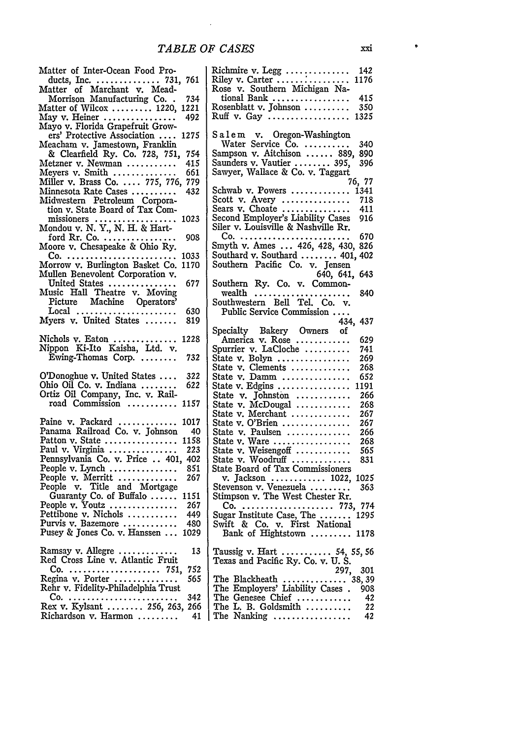| Matter of Inter-Ocean Food Pro-<br>ducts, Inc.  731, 761<br>Matter of Marchant v. Mead- |
|-----------------------------------------------------------------------------------------|
|                                                                                         |
|                                                                                         |
| Morrison Manufacturing Co. .<br>Matter of Wilcox  1220,<br>734                          |
| 1221                                                                                    |
| May v. Heiner<br>492<br>Mayo v. Florida Grapefruit Grow-                                |
| ers' Protective Association<br>1275                                                     |
|                                                                                         |
| Meacham v. Jamestown, Franklin<br>& Clearfield Ry. Co. 728, 751,<br>754                 |
| 415<br>Metzner v. Newman                                                                |
| 661                                                                                     |
| Meyers v. Smith<br>Miller v. Brass Co.  775, 776,<br>779                                |
| Minnesota Rate Cases<br>Midwestern Petroleum Corpora-<br>432                            |
|                                                                                         |
| tion v. State Board of Tax Com-                                                         |
| missioners<br>Mondou v. N. Y., N. H. & Hart-<br>1023                                    |
| 908                                                                                     |
| ford Rr. Co.<br>Moore v. Chesapeake & Ohio Ry.                                          |
| $Co.$<br>1033<br>i.                                                                     |
| Morrow v. Burlington Basket Co.<br>1170                                                 |
| Mullen Benevolent Corporation v.                                                        |
| United States<br>Music Hall Theatre v. Moving<br>Picture Machine Operators'<br>677      |
|                                                                                         |
|                                                                                         |
| Local.<br>630<br>Local<br>Myers v. United States                                        |
| 819                                                                                     |
| 1228                                                                                    |
| Nichols v. Eaton<br>Ni <u>p</u> pon Ki-Ito Kaisha, Ltd. v.                              |
| Ewing-Thomas Corp.<br>732                                                               |
|                                                                                         |
| O'Donoghue v. United States<br>322                                                      |
| 622                                                                                     |
| Ohio Oil Co. v. Indiana<br>Ortiz Oil Company, Inc. v. Rail-                             |
| road Commission<br>1157                                                                 |
| 1017                                                                                    |
| Paine v. Packard<br>Panama Railroad Co. v. Johnson<br>40                                |
| Patton v. State<br>1158                                                                 |
| 223                                                                                     |
| Paul v. Virginia<br>Pennsylvania Co. v. Price  401,<br>402                              |
| 851                                                                                     |
| 267                                                                                     |
|                                                                                         |
| 1151                                                                                    |
| People v. Youtz<br>Pettibone v. Nichols<br>267<br>449                                   |
| Purvis v. Bazemore<br>480                                                               |
| Pusey & Jones Co. v. Hanssen<br>1029                                                    |
|                                                                                         |
| Ramsay v. Allegre<br>13                                                                 |
| Red Cross Line v. Atlantic Fruit                                                        |
| Co.  751,<br>752                                                                        |
| Regina v. Porter<br>Rehr v. Fidelity-Philadelphia Trust<br>565                          |
|                                                                                         |
|                                                                                         |
| Richardson v. Harmon  41                                                                |
|                                                                                         |

| Richmire v. Legg<br>Riley v. Carter<br>Rose v. Southern Michigan Na-                          | 142         |
|-----------------------------------------------------------------------------------------------|-------------|
|                                                                                               | 1176        |
| tional Bank                                                                                   | 415         |
| Rosenblatt v. Johnson                                                                         | 350         |
| Ruff v. Gay                                                                                   | 1325        |
| Salem v. Oregon-Washington                                                                    |             |
|                                                                                               | 340         |
| Water Service Co.<br>Sampson v. Aitchison  889,                                               | 890         |
| Saunders v. Vautier  395,                                                                     | 396         |
| Sawyer, Wallace & Co. v. Taggart                                                              |             |
|                                                                                               | 76, 77      |
| Schwab v. Powers<br>Scott v. Avery                                                            | 1341<br>718 |
|                                                                                               | 411         |
| Sears v. Choate<br>Second Employer's Liability Cases                                          | 916         |
| Siler v. Louisville & Nashville Rr.                                                           |             |
| Co.                                                                                           | 670         |
|                                                                                               | 826         |
| Smyth v. Ames  426, 428, 430,<br>Southard v. Southard  401,<br>Southern Pacific Co. v. Jensen | 402         |
|                                                                                               |             |
| 640, 641,                                                                                     | 643         |
| Southern Ry. Co. v. Common-<br>wealth<br>.                                                    | 840         |
| Southwestern Bell Tel. Co. v.                                                                 |             |
| Public Service Commission                                                                     |             |
| 434,                                                                                          | 437         |
| Specialty Bakery Owners of<br>America v. Rose                                                 |             |
|                                                                                               | 629         |
| Spurrier v. LaCloche                                                                          | 741         |
| State v. Bolyn $\dots\dots\dots\dots\dots$                                                    | 269         |
| State v. Clements                                                                             | 268         |
| State $v.$ Damm $\ldots \ldots \ldots \ldots$                                                 | 652         |
| State v. Edgins                                                                               | 1191        |
| State v. Johnston<br>State v. McDougal                                                        | 266<br>268  |
| State v. Merchant                                                                             | 267         |
| State v. O'Brien                                                                              | 267         |
| State v. Paulsen                                                                              | 266         |
|                                                                                               | 268         |
| State v. Ware<br>State v. Weisengoff                                                          | 565         |
| State v. Woodruff<br>State Board of Tax Commissioners                                         | 831         |
|                                                                                               |             |
| v. Jackson  1022,<br>Stevenson v. Venezuela                                                   | 1025        |
|                                                                                               | 363         |
| Stimpson v. The West Chester Rr.                                                              |             |
|                                                                                               |             |
|                                                                                               |             |
| Bank of Hightstown                                                                            | 1178        |
|                                                                                               |             |
| Taussig v. Hart  54, 55, 56<br>Texas and Pacific Ry. Co. v. U. S.                             |             |
|                                                                                               |             |
| 297, 35, 39                                                                                   |             |
|                                                                                               | 908         |
| The Genesee Chief                                                                             | -42         |
| The L. B. Goldsmith                                                                           | 22          |
| The Nanking                                                                                   |             |

 $\bullet$